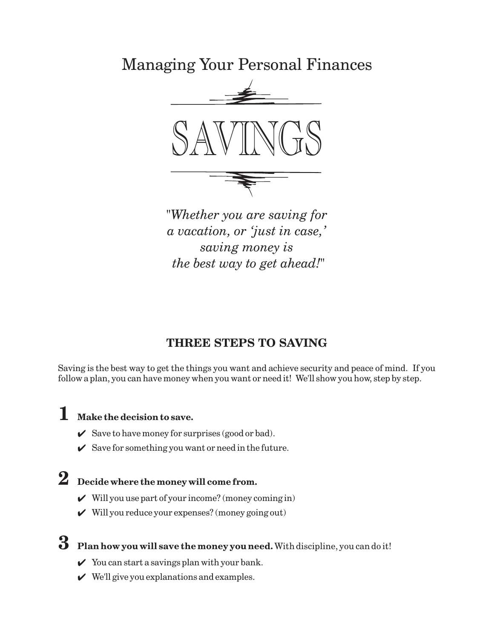Managing Your Personal Finances



*"Whether you are saving for a vacation, or 'just in case,' saving money is the best way to get ahead!"*

# **THREE STEPS TO SAVING**

Saving is the best way to get the things you want and achieve security and peace of mind. If you follow a plan, you can have money when you want or need it! We'll show you how, step by step.

# **1 Make the decision to save.**

- $\checkmark$  Save to have money for surprises (good or bad).
- $\checkmark$  Save for something you want or need in the future.

# **2 Decide where the money will come from.**

- $\mathcal V$  Will you use part of your income? (money coming in)
- $\mathcal V$  Will you reduce your expenses? (money going out)
- **3** Plan how you will save the money you need. With discipline, you can do it!
	- $\checkmark$  You can start a savings plan with your bank.
	- $\vee$  We'll give you explanations and examples.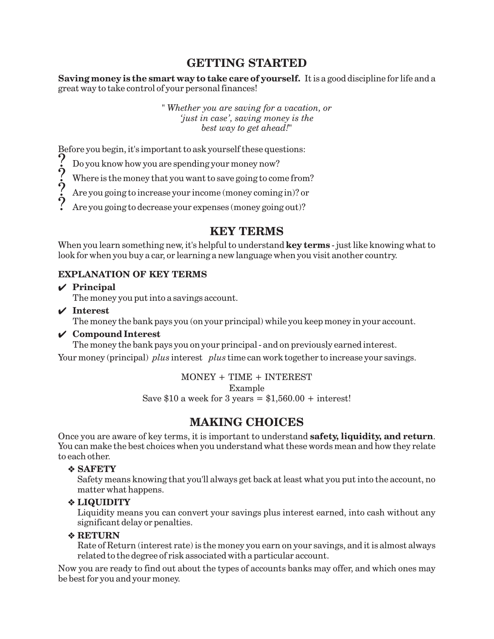## **GETTING STARTED**

**Saving money is the smart way to take care of yourself.** It is a good discipline for life and a great way to take control of your personal finances!

> *" Whether you are saving for a vacation, or 'just in case', saving money is the best way to get ahead!"*

Before you begin, it's important to ask yourself these questions:

Do you know how you are spending your money now?  $?$ 

Where is the money that you want to save going to come from?  $?$ 

Are you going to increase your income (money coming in)? or  $?$ 

Are you going to decrease your expenses (money going out)? ?<br>.

## **KEY TERMS**

When you learn something new, it's helpful to understand **key terms** - just like knowing what to look for when you buy a car, or learning a new language when you visit another country.

#### **EXPLANATION OF KEY TERMS**

**Principal**

The money you put into a savings account.

**Interest**

The money the bank pays you (on your principal) while you keep money in your account.

#### **Compound Interest**

The money the bank pays you on your principal - and on previously earned interest.

Your money (principal) plus interest plus time can work together to increase your savings.

MONEY + TIME + INTEREST

Example

Save \$10 a week for 3 years =  $$1,560.00 + interest!$ 

# **MAKING CHOICES**

Once you are aware of key terms, it is important to understand **safety, liquidity, and return**. You can make the best choices when you understand what these words mean and how they relate to each other.

#### **SAFETY** -

Safety means knowing that you'll always get back at least what you put into the account, no matter what happens.

#### **LIQUIDITY** -

Liquidity means you can convert your savings plus interest earned, into cash without any significant delay or penalties.

#### **RETURN** -

Rate of Return (interest rate) is the money you earn on your savings, and it is almost always related to the degree of risk associated with a particular account.

Now you are ready to find out about the types of accounts banks may offer, and which ones may be best for you and your money.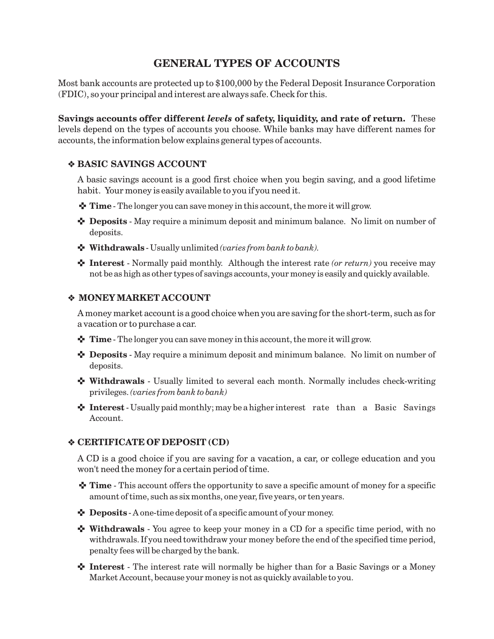## **GENERAL TYPES OF ACCOUNTS**

Most bank accounts are protected up to \$100,000 by the Federal Deposit Insurance Corporation (FDIC), so your principal and interest are always safe. Check for this.

**Savings accounts offer different levels of safety, liquidity, and rate of return.** These levels depend on the types of accounts you choose. While banks may have different names for accounts, the information below explains general types of accounts.

#### **BASIC SAVINGS ACCOUNT** -

A basic savings account is a good first choice when you begin saving, and a good lifetime habit. Your money is easily available to you if you need it.

- **↑ Time** The longer you can save money in this account, the more it will grow.
- **Deposits** May require a minimum deposit and minimum balance. No limit on number of deposits.
- $\blacklozenge$  **Withdrawals** Usually unlimited (varies from bank to bank).
- **↑** Interest Normally paid monthly. Although the interest rate (or return) you receive may not be as high as other types of savings accounts, your money is easily and quickly available.

#### **MONEY MARKET ACCOUNT** -

A money market account is a good choice when you are saving for the short-term, such as for a vacation or to purchase a car.

- **Time** The longer you can save money in this account, the more it will grow.
- **Deposits** May require a minimum deposit and minimum balance. No limit on number of deposits.
- $\cdot$  Withdrawals Usually limited to several each month. Normally includes check-writing privileges. *(varies from bank to bank)*
- **1 Interest** Usually paid monthly; may be a higher interest rate than a Basic Savings Account.

#### **CERTIFICATE OF DEPOSIT (CD)** -

A CD is a good choice if you are saving for a vacation, a car, or college education and you won't need the money for a certain period of time.

- **Time** This account offers the opportunity to save a specific amount of money for a specific amount of time, such as six months, one year, five years, or ten years.
- **Deposits** A one-time deposit of a specific amount of your money.
- **<sup>↓</sup> Withdrawals** You agree to keep your money in a CD for a specific time period, with no withdrawals. If you need towithdraw your money before the end of the specified time period, penalty fees will be charged by the bank.
- **Interest** The interest rate will normally be higher than for a Basic Savings or a Money Market Account, because your money is not as quickly available to you.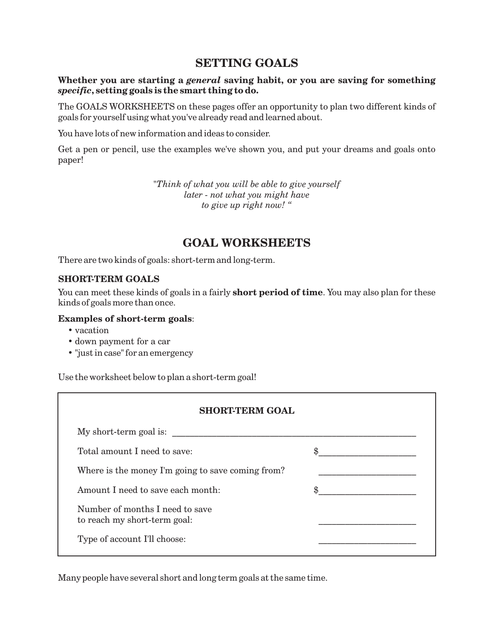## **SETTING GOALS**

#### Whether you are starting a *general* saving habit, or you are saving for something **, setting goals is the smart thing to do.** *specific*

The GOALS WORKSHEETS on these pages offer an opportunity to plan two different kinds of goals for yourself using what you've already read and learned about.

You have lots of new information and ideas to consider.

Get a pen or pencil, use the examples we've shown you, and put your dreams and goals onto paper!

> *"Think of what you will be able to give yourself later - not what you might have to give up right now! "*

## **GOAL WORKSHEETS**

There are two kinds of goals: short-term and long-term.

#### **SHORT-TERM GOALS**

You can meet these kinds of goals in a fairly **short period of time**. You may also plan for these kinds of goals more than once.

#### **Examples of short-term goals** :

- vacation
- down payment for a car
- "just in case" for an emergency

Use the worksheet below to plan a short-term goal!

| <b>SHORT-TERM GOAL</b>                                          |  |  |
|-----------------------------------------------------------------|--|--|
| My short-term goal is:                                          |  |  |
| Total amount I need to save:                                    |  |  |
| Where is the money I'm going to save coming from?               |  |  |
| Amount I need to save each month:                               |  |  |
| Number of months I need to save<br>to reach my short-term goal: |  |  |
| Type of account I'll choose:                                    |  |  |

Many people have several short and long term goals at the same time.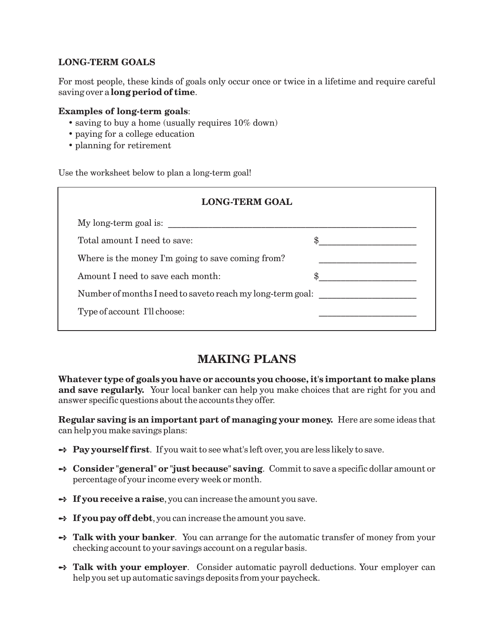#### **LONG-TERM GOALS**

saving over a **long period of time**. For most people, these kinds of goals only occur once or twice in a lifetime and require careful

#### **Examples of long-term goals** :

- saving to buy a home (usually requires 10% down)
- paying for a college education
- planning for retirement

Use the worksheet below to plan a long-term goal!

| <b>LONG-TERM GOAL</b>                                      |  |  |
|------------------------------------------------------------|--|--|
| My long-term goal is:                                      |  |  |
| Total amount I need to save:                               |  |  |
| Where is the money I'm going to save coming from?          |  |  |
| Amount I need to save each month:                          |  |  |
| Number of months I need to saveto reach my long-term goal: |  |  |
| Type of account I'll choose:                               |  |  |
|                                                            |  |  |

### **MAKING PLANS**

**Whatever type of goals you have or accounts you choose, it's important to make plans and save regularly.** Your local banker can help you make choices that are right for you and answer specific questions about the accounts they offer.

**Regular saving is an important part of managing your money.** Here are some ideas that can help you make savings plans:

- → Pay yourself first. If you wait to see what's left over, you are less likely to save.
- **Consider "general" or "just because" saving** . Commit to save a specific dollar amount or percentage of your income every week or month.
- **→ If you receive a raise**, you can increase the amount you save.
- → If you pay off debt, you can increase the amount you save.
- → Talk with your banker. You can arrange for the automatic transfer of money from your checking account to your savings account on a regular basis.
- → Talk with your employer. Consider automatic payroll deductions. Your employer can help you set up automatic savings deposits from your paycheck.